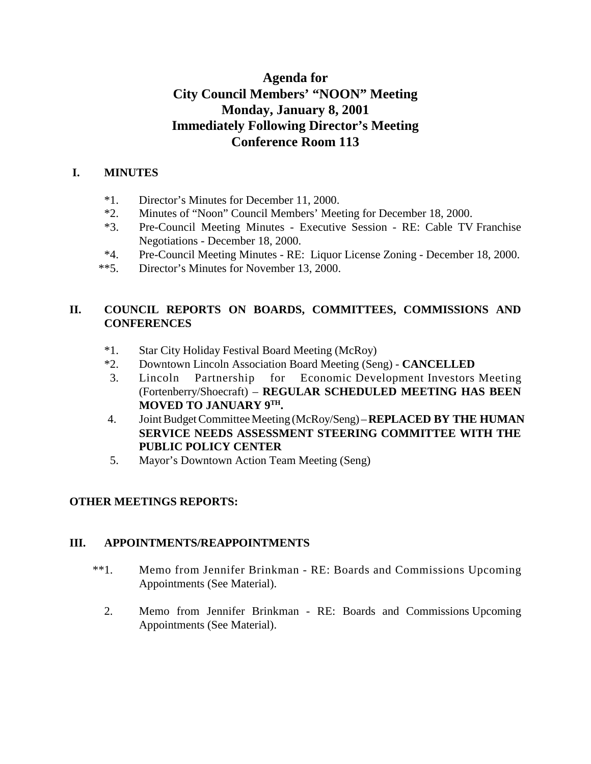# **Agenda for City Council Members' "NOON" Meeting Monday, January 8, 2001 Immediately Following Director's Meeting Conference Room 113**

#### **I. MINUTES**

- \*1. Director's Minutes for December 11, 2000.
- \*2. Minutes of "Noon" Council Members' Meeting for December 18, 2000.
- \*3. Pre-Council Meeting Minutes Executive Session RE: Cable TV Franchise Negotiations - December 18, 2000.
- \*4. Pre-Council Meeting Minutes RE: Liquor License Zoning December 18, 2000.
- \*\*5. Director's Minutes for November 13, 2000.

### **II. COUNCIL REPORTS ON BOARDS, COMMITTEES, COMMISSIONS AND CONFERENCES**

- \*1. Star City Holiday Festival Board Meeting (McRoy)
- \*2. Downtown Lincoln Association Board Meeting (Seng) **CANCELLED**
- 3. Lincoln Partnership for Economic Development Investors Meeting (Fortenberry/Shoecraft) – **REGULAR SCHEDULED MEETING HAS BEEN MOVED TO JANUARY 9TH.**
- 4. Joint Budget Committee Meeting (McRoy/Seng) **REPLACED BY THE HUMAN SERVICE NEEDS ASSESSMENT STEERING COMMITTEE WITH THE PUBLIC POLICY CENTER**
- 5. Mayor's Downtown Action Team Meeting (Seng)

### **OTHER MEETINGS REPORTS:**

#### **III. APPOINTMENTS/REAPPOINTMENTS**

- \*\*1. Memo from Jennifer Brinkman RE: Boards and Commissions Upcoming Appointments (See Material).
	- 2. Memo from Jennifer Brinkman RE: Boards and Commissions Upcoming Appointments (See Material).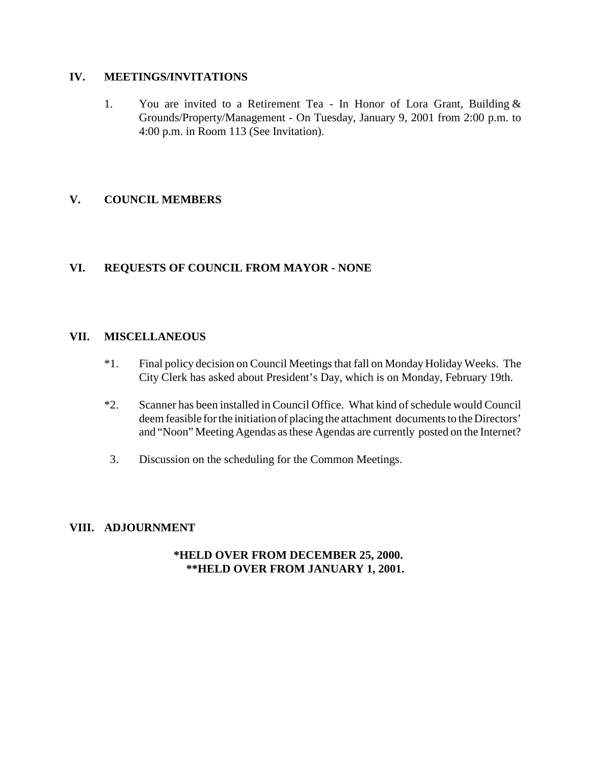#### **IV. MEETINGS/INVITATIONS**

1. You are invited to a Retirement Tea - In Honor of Lora Grant, Building & Grounds/Property/Management - On Tuesday, January 9, 2001 from 2:00 p.m. to 4:00 p.m. in Room 113 (See Invitation).

#### **V. COUNCIL MEMBERS**

#### **VI. REQUESTS OF COUNCIL FROM MAYOR - NONE**

#### **VII. MISCELLANEOUS**

- \*1. Final policy decision on Council Meetings that fall on Monday Holiday Weeks. The City Clerk has asked about President's Day, which is on Monday, February 19th.
- \*2. Scanner has been installed in Council Office. What kind of schedule would Council deem feasible for the initiation of placing the attachment documents to the Directors' and "Noon" Meeting Agendas as these Agendas are currently posted on the Internet?
- 3. Discussion on the scheduling for the Common Meetings.

#### **VIII. ADJOURNMENT**

#### **\*HELD OVER FROM DECEMBER 25, 2000. \*\*HELD OVER FROM JANUARY 1, 2001.**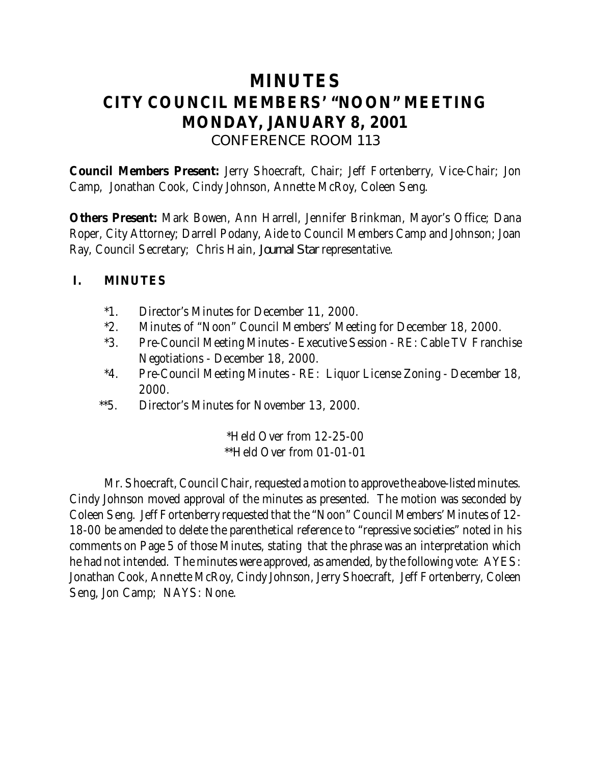# **MINUTES CITY COUNCIL MEMBERS' "NOON" MEETING MONDAY, JANUARY 8, 2001** *CONFERENCE ROOM 113*

**Council Members Present:** Jerry Shoecraft, Chair; Jeff Fortenberry, Vice-Chair; Jon Camp, Jonathan Cook, Cindy Johnson, Annette McRoy, Coleen Seng.

**Others Present:** Mark Bowen, Ann Harrell, Jennifer Brinkman, Mayor's Office; Dana Roper, City Attorney; Darrell Podany, Aide to Council Members Camp and Johnson; Joan Ray, Council Secretary; Chris Hain, *Journal Star* representative.

### **I. MINUTES**

- \*1. Director's Minutes for December 11, 2000.
- \*2. Minutes of "Noon" Council Members' Meeting for December 18, 2000.
- \*3. Pre-Council Meeting Minutes Executive Session RE: Cable TV Franchise Negotiations - December 18, 2000.
- \*4. Pre-Council Meeting Minutes RE: Liquor License Zoning December 18, 2000.
- \*\*5. Director's Minutes for November 13, 2000.

\*Held Over from 12-25-00 \*\*Held Over from 01-01-01

Mr. Shoecraft, Council Chair, requested a motion to approve the above-listed minutes. Cindy Johnson moved approval of the minutes as presented. The motion was seconded by Coleen Seng. Jeff Fortenberry requested that the "Noon" Council Members' Minutes of 12- 18-00 be amended to delete the parenthetical reference to "repressive societies" noted in his comments on Page 5 of those Minutes, stating that the phrase was an interpretation which he had not intended. The minutes were approved, as amended, by the following vote: AYES: Jonathan Cook, Annette McRoy, Cindy Johnson, Jerry Shoecraft, Jeff Fortenberry, Coleen Seng, Jon Camp; NAYS: None.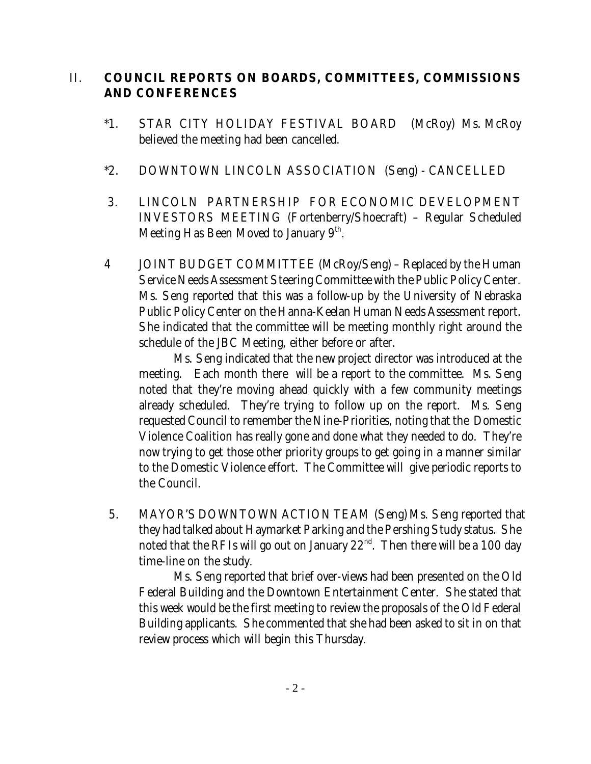## II. **COUNCIL REPORTS ON BOARDS, COMMITTEES, COMMISSIONS AND CONFERENCES**

- \*1. STAR CITY HOLIDAY FESTIVAL BOARD (McRoy) Ms. McRoy believed the meeting had been cancelled.
- \*2. DOWNTOWN LINCOLN ASSOCIATION (Seng) CANCELLED
- 3. LINCOLN PARTNERSHIP FOR ECONOMIC DEVELOPMENT INVESTORS MEETING (Fortenberry/Shoecraft) – Regular Scheduled Meeting Has Been Moved to January  $9<sup>th</sup>$ .
- 4 JOINT BUDGET COMMITTEE (McRoy/Seng) Replaced by the Human Service Needs Assessment Steering Committee with the Public Policy Center. Ms. Seng reported that this was a follow-up by the University of Nebraska Public Policy Center on the Hanna-Keelan Human Needs Assessment report. She indicated that the committee will be meeting monthly right around the schedule of the JBC Meeting, either before or after.

Ms. Seng indicated that the new project director was introduced at the meeting. Each month there will be a report to the committee. Ms. Seng noted that they're moving ahead quickly with a few community meetings already scheduled. They're trying to follow up on the report. Ms. Seng requested Council to remember the Nine-Priorities, noting that the Domestic Violence Coalition has really gone and done what they needed to do. They're now trying to get those other priority groups to get going in a manner similar to the Domestic Violence effort. The Committee will give periodic reports to the Council.

5. MAYOR'S DOWNTOWN ACTION TEAM (Seng) Ms. Seng reported that they had talked about Haymarket Parking and the Pershing Study status. She noted that the RFIs will go out on January  $22<sup>nd</sup>$ . Then there will be a 100 day time-line on the study.

Ms. Seng reported that brief over-views had been presented on the Old Federal Building and the Downtown Entertainment Center. She stated that this week would be the first meeting to review the proposals of the Old Federal Building applicants. She commented that she had been asked to sit in on that review process which will begin this Thursday.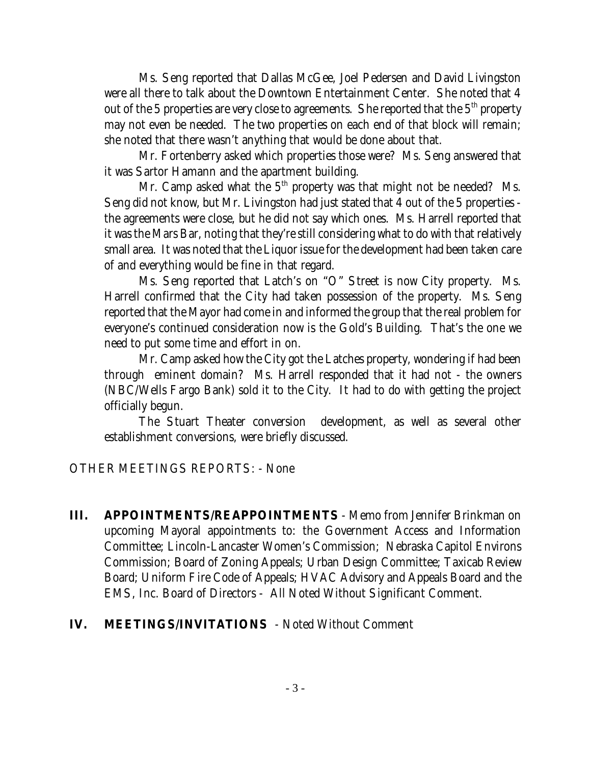Ms. Seng reported that Dallas McGee, Joel Pedersen and David Livingston were all there to talk about the Downtown Entertainment Center. She noted that 4 out of the 5 properties are very close to agreements. She reported that the  $5<sup>th</sup>$  property may not even be needed. The two properties on each end of that block will remain; she noted that there wasn't anything that would be done about that.

Mr. Fortenberry asked which properties those were? Ms. Seng answered that it was Sartor Hamann and the apartment building.

Mr. Camp asked what the  $5<sup>th</sup>$  property was that might not be needed? Ms. Seng did not know, but Mr. Livingston had just stated that 4 out of the 5 properties the agreements were close, but he did not say which ones. Ms. Harrell reported that it was the Mars Bar, noting that they're still considering what to do with that relatively small area. It was noted that the Liquor issue for the development had been taken care of and everything would be fine in that regard.

Ms. Seng reported that Latch's on "O" Street is now City property. Ms. Harrell confirmed that the City had taken possession of the property. Ms. Seng reported that the Mayor had come in and informed the group that the real problem for everyone's continued consideration now is the Gold's Building. That's the one we need to put some time and effort in on.

Mr. Camp asked how the City got the Latches property, wondering if had been through eminent domain? Ms. Harrell responded that it had not - the owners (NBC/Wells Fargo Bank) sold it to the City. It had to do with getting the project officially begun.

The Stuart Theater conversion development, as well as several other establishment conversions, were briefly discussed.

OTHER MEETINGS REPORTS: - None

**III. APPOINTMENTS/REAPPOINTMENTS** - Memo from Jennifer Brinkman on upcoming Mayoral appointments to: the Government Access and Information Committee; Lincoln-Lancaster Women's Commission; Nebraska Capitol Environs Commission; Board of Zoning Appeals; Urban Design Committee; Taxicab Review Board; Uniform Fire Code of Appeals; HVAC Advisory and Appeals Board and the EMS, Inc. Board of Directors - All Noted Without Significant Comment.

### **IV. MEETINGS/INVITATIONS** - Noted Without Comment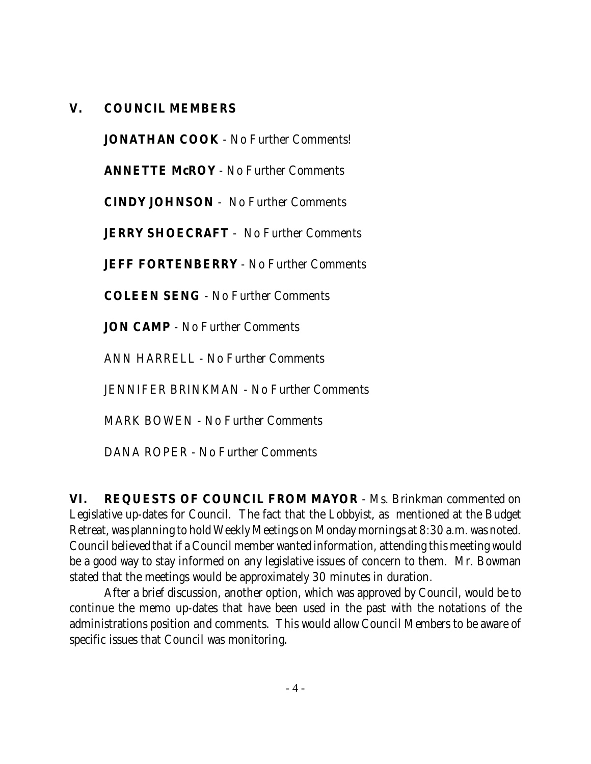### **V. COUNCIL MEMBERS**

**JONATHAN COOK** - No Further Comments!

**ANNETTE McROY** - No Further Comments

**CINDY JOHNSON** - No Further Comments

**JERRY SHOECRAFT** - No Further Comments

**JEFF FORTENBERRY** - No Further Comments

**COLEEN SENG** - No Further Comments

**JON CAMP** - No Further Comments

ANN HARRELL - No Further Comments

JENNIFER BRINKMAN - No Further Comments

MARK BOWEN - No Further Comments

DANA ROPER - No Further Comments

**VI. REQUESTS OF COUNCIL FROM MAYOR** - Ms. Brinkman commented on Legislative up-dates for Council. The fact that the Lobbyist, as mentioned at the Budget Retreat, was planning to hold Weekly Meetings on Monday mornings at 8:30 a.m. was noted. Council believed that if a Council member wanted information, attending this meeting would be a good way to stay informed on any legislative issues of concern to them. Mr. Bowman stated that the meetings would be approximately 30 minutes in duration.

After a brief discussion, another option, which was approved by Council, would be to continue the memo up-dates that have been used in the past with the notations of the administrations position and comments. This would allow Council Members to be aware of specific issues that Council was monitoring.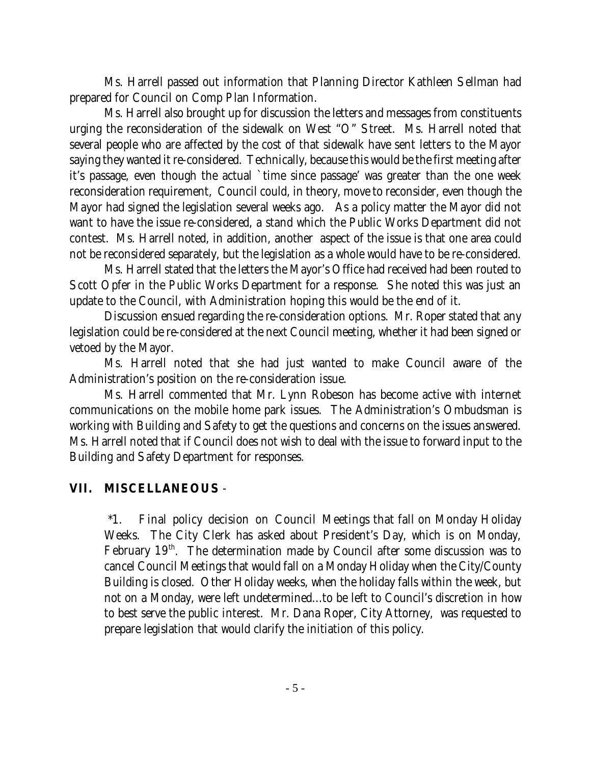Ms. Harrell passed out information that Planning Director Kathleen Sellman had prepared for Council on Comp Plan Information.

Ms. Harrell also brought up for discussion the letters and messages from constituents urging the reconsideration of the sidewalk on West "O" Street. Ms. Harrell noted that several people who are affected by the cost of that sidewalk have sent letters to the Mayor saying they wanted it re-considered. Technically, because this would be the first meeting after it's passage, even though the actual `time since passage' was greater than the one week reconsideration requirement, Council could, in theory, move to reconsider, even though the Mayor had signed the legislation several weeks ago. As a policy matter the Mayor did not want to have the issue re-considered, a stand which the Public Works Department did not contest. Ms. Harrell noted, in addition, another aspect of the issue is that one area could not be reconsidered separately, but the legislation as a whole would have to be re-considered.

Ms. Harrell stated that the letters the Mayor's Office had received had been routed to Scott Opfer in the Public Works Department for a response. She noted this was just an update to the Council, with Administration hoping this would be the end of it.

Discussion ensued regarding the re-consideration options. Mr. Roper stated that any legislation could be re-considered at the next Council meeting, whether it had been signed or vetoed by the Mayor.

Ms. Harrell noted that she had just wanted to make Council aware of the Administration's position on the re-consideration issue.

Ms. Harrell commented that Mr. Lynn Robeson has become active with internet communications on the mobile home park issues. The Administration's Ombudsman is working with Building and Safety to get the questions and concerns on the issues answered. Ms. Harrell noted that if Council does not wish to deal with the issue to forward input to the Building and Safety Department for responses.

### **VII. MISCELLANEOUS** -

\*1. Final policy decision on Council Meetings that fall on Monday Holiday Weeks. The City Clerk has asked about President's Day, which is on Monday, February  $19<sup>th</sup>$ . The determination made by Council after some discussion was to cancel Council Meetings that would fall on a Monday Holiday when the City/County Building is closed. Other Holiday weeks, when the holiday falls within the week, but not on a Monday, were left undetermined...to be left to Council's discretion in how to best serve the public interest. Mr. Dana Roper, City Attorney, was requested to prepare legislation that would clarify the initiation of this policy.